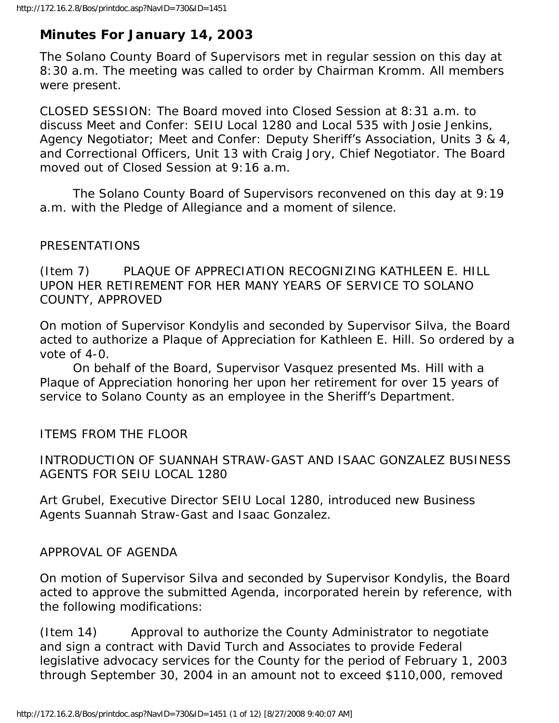## **Minutes For January 14, 2003**

The Solano County Board of Supervisors met in regular session on this day at 8:30 a.m. The meeting was called to order by Chairman Kromm. All members were present.

CLOSED SESSION: The Board moved into Closed Session at 8:31 a.m. to discuss Meet and Confer: SEIU Local 1280 and Local 535 with Josie Jenkins, Agency Negotiator; Meet and Confer: Deputy Sheriff's Association, Units 3 & 4, and Correctional Officers, Unit 13 with Craig Jory, Chief Negotiator. The Board moved out of Closed Session at 9:16 a.m.

 The Solano County Board of Supervisors reconvened on this day at 9:19 a.m. with the Pledge of Allegiance and a moment of silence.

## PRESENTATIONS

(Item 7) PLAQUE OF APPRECIATION RECOGNIZING KATHLEEN E. HILL UPON HER RETIREMENT FOR HER MANY YEARS OF SERVICE TO SOLANO COUNTY, APPROVED

On motion of Supervisor Kondylis and seconded by Supervisor Silva, the Board acted to authorize a Plaque of Appreciation for Kathleen E. Hill. So ordered by a vote of 4-0.

 On behalf of the Board, Supervisor Vasquez presented Ms. Hill with a Plaque of Appreciation honoring her upon her retirement for over 15 years of service to Solano County as an employee in the Sheriff's Department.

ITEMS FROM THE FLOOR

INTRODUCTION OF SUANNAH STRAW-GAST AND ISAAC GONZALEZ BUSINESS AGENTS FOR SEIU LOCAL 1280

Art Grubel, Executive Director SEIU Local 1280, introduced new Business Agents Suannah Straw-Gast and Isaac Gonzalez.

APPROVAL OF AGENDA

On motion of Supervisor Silva and seconded by Supervisor Kondylis, the Board acted to approve the submitted Agenda, incorporated herein by reference, with the following modifications:

(Item 14) Approval to authorize the County Administrator to negotiate and sign a contract with David Turch and Associates to provide Federal legislative advocacy services for the County for the period of February 1, 2003 through September 30, 2004 in an amount not to exceed \$110,000, removed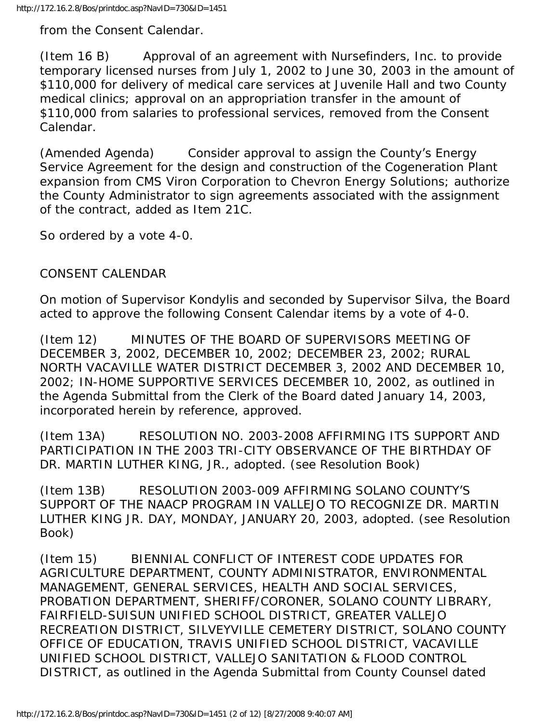from the Consent Calendar.

(Item 16 B) Approval of an agreement with Nursefinders, Inc. to provide temporary licensed nurses from July 1, 2002 to June 30, 2003 in the amount of \$110,000 for delivery of medical care services at Juvenile Hall and two County medical clinics; approval on an appropriation transfer in the amount of \$110,000 from salaries to professional services, removed from the Consent Calendar.

(Amended Agenda) Consider approval to assign the County's Energy Service Agreement for the design and construction of the Cogeneration Plant expansion from CMS Viron Corporation to Chevron Energy Solutions; authorize the County Administrator to sign agreements associated with the assignment of the contract, added as Item 21C.

So ordered by a vote 4-0.

CONSENT CALENDAR

On motion of Supervisor Kondylis and seconded by Supervisor Silva, the Board acted to approve the following Consent Calendar items by a vote of 4-0.

(Item 12) MINUTES OF THE BOARD OF SUPERVISORS MEETING OF DECEMBER 3, 2002, DECEMBER 10, 2002; DECEMBER 23, 2002; RURAL NORTH VACAVILLE WATER DISTRICT DECEMBER 3, 2002 AND DECEMBER 10, 2002; IN-HOME SUPPORTIVE SERVICES DECEMBER 10, 2002, as outlined in the Agenda Submittal from the Clerk of the Board dated January 14, 2003, incorporated herein by reference, approved.

(Item 13A) RESOLUTION NO. 2003-2008 AFFIRMING ITS SUPPORT AND PARTICIPATION IN THE 2003 TRI-CITY OBSERVANCE OF THE BIRTHDAY OF DR. MARTIN LUTHER KING, JR., adopted. (see Resolution Book)

(Item 13B) RESOLUTION 2003-009 AFFIRMING SOLANO COUNTY'S SUPPORT OF THE NAACP PROGRAM IN VALLEJO TO RECOGNIZE DR. MARTIN LUTHER KING JR. DAY, MONDAY, JANUARY 20, 2003, adopted. (see Resolution Book)

(Item 15) BIENNIAL CONFLICT OF INTEREST CODE UPDATES FOR AGRICULTURE DEPARTMENT, COUNTY ADMINISTRATOR, ENVIRONMENTAL MANAGEMENT, GENERAL SERVICES, HEALTH AND SOCIAL SERVICES, PROBATION DEPARTMENT, SHERIFF/CORONER, SOLANO COUNTY LIBRARY, FAIRFIELD-SUISUN UNIFIED SCHOOL DISTRICT, GREATER VALLEJO RECREATION DISTRICT, SILVEYVILLE CEMETERY DISTRICT, SOLANO COUNTY OFFICE OF EDUCATION, TRAVIS UNIFIED SCHOOL DISTRICT, VACAVILLE UNIFIED SCHOOL DISTRICT, VALLEJO SANITATION & FLOOD CONTROL DISTRICT, as outlined in the Agenda Submittal from County Counsel dated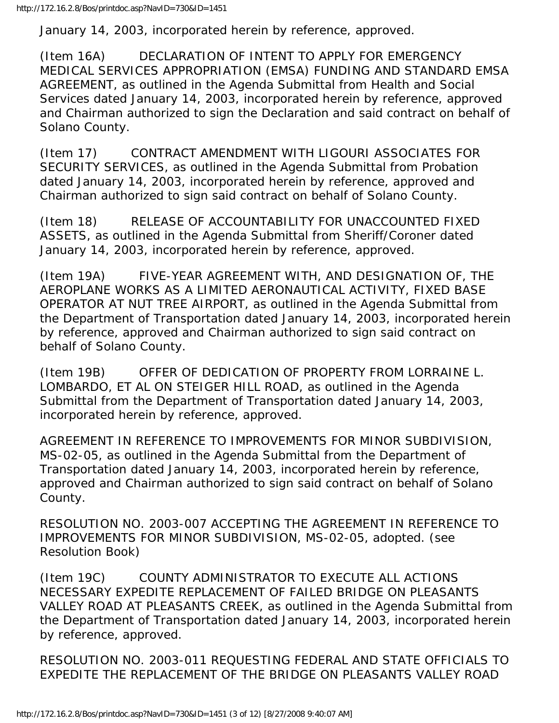January 14, 2003, incorporated herein by reference, approved.

(Item 16A) DECLARATION OF INTENT TO APPLY FOR EMERGENCY MEDICAL SERVICES APPROPRIATION (EMSA) FUNDING AND STANDARD EMSA AGREEMENT, as outlined in the Agenda Submittal from Health and Social Services dated January 14, 2003, incorporated herein by reference, approved and Chairman authorized to sign the Declaration and said contract on behalf of Solano County.

(Item 17) CONTRACT AMENDMENT WITH LIGOURI ASSOCIATES FOR SECURITY SERVICES, as outlined in the Agenda Submittal from Probation dated January 14, 2003, incorporated herein by reference, approved and Chairman authorized to sign said contract on behalf of Solano County.

(Item 18) RELEASE OF ACCOUNTABILITY FOR UNACCOUNTED FIXED ASSETS, as outlined in the Agenda Submittal from Sheriff/Coroner dated January 14, 2003, incorporated herein by reference, approved.

(Item 19A) FIVE-YEAR AGREEMENT WITH, AND DESIGNATION OF, THE AEROPLANE WORKS AS A LIMITED AERONAUTICAL ACTIVITY, FIXED BASE OPERATOR AT NUT TREE AIRPORT, as outlined in the Agenda Submittal from the Department of Transportation dated January 14, 2003, incorporated herein by reference, approved and Chairman authorized to sign said contract on behalf of Solano County.

(Item 19B) OFFER OF DEDICATION OF PROPERTY FROM LORRAINE L. LOMBARDO, ET AL ON STEIGER HILL ROAD, as outlined in the Agenda Submittal from the Department of Transportation dated January 14, 2003, incorporated herein by reference, approved.

AGREEMENT IN REFERENCE TO IMPROVEMENTS FOR MINOR SUBDIVISION, MS-02-05, as outlined in the Agenda Submittal from the Department of Transportation dated January 14, 2003, incorporated herein by reference, approved and Chairman authorized to sign said contract on behalf of Solano County.

RESOLUTION NO. 2003-007 ACCEPTING THE AGREEMENT IN REFERENCE TO IMPROVEMENTS FOR MINOR SUBDIVISION, MS-02-05, adopted. (see Resolution Book)

(Item 19C) COUNTY ADMINISTRATOR TO EXECUTE ALL ACTIONS NECESSARY EXPEDITE REPLACEMENT OF FAILED BRIDGE ON PLEASANTS VALLEY ROAD AT PLEASANTS CREEK, as outlined in the Agenda Submittal from the Department of Transportation dated January 14, 2003, incorporated herein by reference, approved.

RESOLUTION NO. 2003-011 REQUESTING FEDERAL AND STATE OFFICIALS TO EXPEDITE THE REPLACEMENT OF THE BRIDGE ON PLEASANTS VALLEY ROAD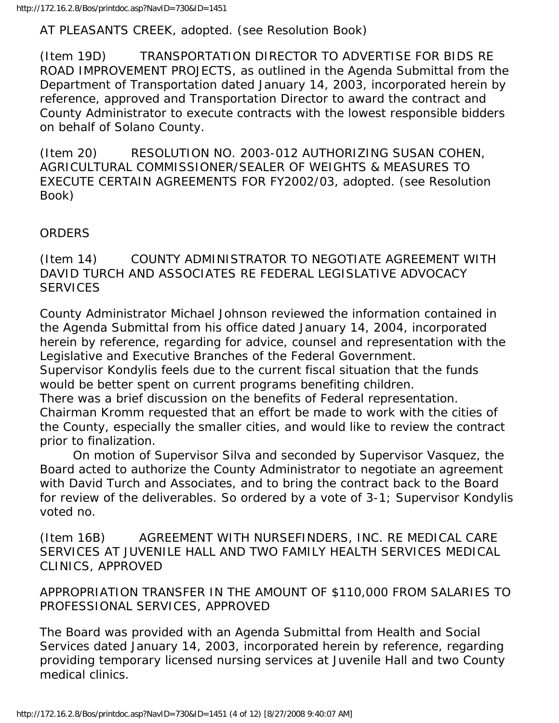AT PLEASANTS CREEK, adopted. (see Resolution Book)

(Item 19D) TRANSPORTATION DIRECTOR TO ADVERTISE FOR BIDS RE ROAD IMPROVEMENT PROJECTS, as outlined in the Agenda Submittal from the Department of Transportation dated January 14, 2003, incorporated herein by reference, approved and Transportation Director to award the contract and County Administrator to execute contracts with the lowest responsible bidders on behalf of Solano County.

(Item 20) RESOLUTION NO. 2003-012 AUTHORIZING SUSAN COHEN, AGRICULTURAL COMMISSIONER/SEALER OF WEIGHTS & MEASURES TO EXECUTE CERTAIN AGREEMENTS FOR FY2002/03, adopted. (see Resolution Book)

## ORDERS

(Item 14) COUNTY ADMINISTRATOR TO NEGOTIATE AGREEMENT WITH DAVID TURCH AND ASSOCIATES RE FEDERAL LEGISLATIVE ADVOCACY SERVICES

County Administrator Michael Johnson reviewed the information contained in the Agenda Submittal from his office dated January 14, 2004, incorporated herein by reference, regarding for advice, counsel and representation with the Legislative and Executive Branches of the Federal Government.

Supervisor Kondylis feels due to the current fiscal situation that the funds would be better spent on current programs benefiting children.

There was a brief discussion on the benefits of Federal representation. Chairman Kromm requested that an effort be made to work with the cities of the County, especially the smaller cities, and would like to review the contract prior to finalization.

 On motion of Supervisor Silva and seconded by Supervisor Vasquez, the Board acted to authorize the County Administrator to negotiate an agreement with David Turch and Associates, and to bring the contract back to the Board for review of the deliverables. So ordered by a vote of 3-1; Supervisor Kondylis voted no.

(Item 16B) AGREEMENT WITH NURSEFINDERS, INC. RE MEDICAL CARE SERVICES AT JUVENILE HALL AND TWO FAMILY HEALTH SERVICES MEDICAL CLINICS, APPROVED

APPROPRIATION TRANSFER IN THE AMOUNT OF \$110,000 FROM SALARIES TO PROFESSIONAL SERVICES, APPROVED

The Board was provided with an Agenda Submittal from Health and Social Services dated January 14, 2003, incorporated herein by reference, regarding providing temporary licensed nursing services at Juvenile Hall and two County medical clinics.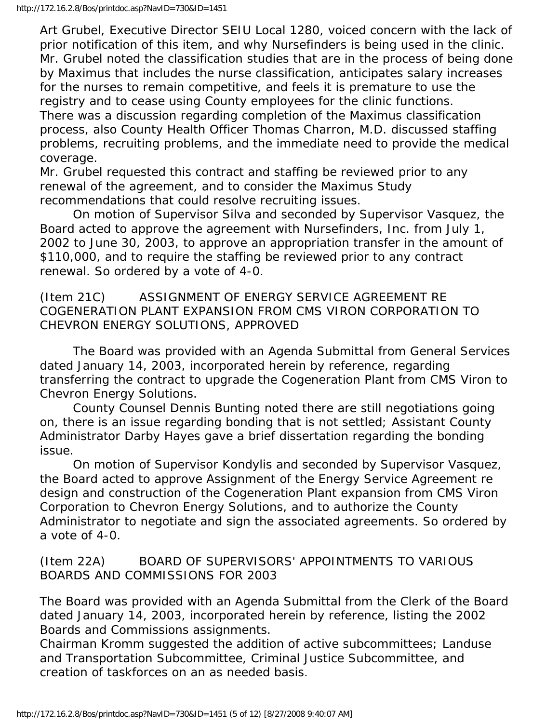Art Grubel, Executive Director SEIU Local 1280, voiced concern with the lack of prior notification of this item, and why Nursefinders is being used in the clinic. Mr. Grubel noted the classification studies that are in the process of being done by Maximus that includes the nurse classification, anticipates salary increases for the nurses to remain competitive, and feels it is premature to use the registry and to cease using County employees for the clinic functions. There was a discussion regarding completion of the Maximus classification process, also County Health Officer Thomas Charron, M.D. discussed staffing problems, recruiting problems, and the immediate need to provide the medical coverage.

Mr. Grubel requested this contract and staffing be reviewed prior to any renewal of the agreement, and to consider the Maximus Study recommendations that could resolve recruiting issues.

 On motion of Supervisor Silva and seconded by Supervisor Vasquez, the Board acted to approve the agreement with Nursefinders, Inc. from July 1, 2002 to June 30, 2003, to approve an appropriation transfer in the amount of \$110,000, and to require the staffing be reviewed prior to any contract renewal. So ordered by a vote of 4-0.

(Item 21C) ASSIGNMENT OF ENERGY SERVICE AGREEMENT RE COGENERATION PLANT EXPANSION FROM CMS VIRON CORPORATION TO CHEVRON ENERGY SOLUTIONS, APPROVED

 The Board was provided with an Agenda Submittal from General Services dated January 14, 2003, incorporated herein by reference, regarding transferring the contract to upgrade the Cogeneration Plant from CMS Viron to Chevron Energy Solutions.

 County Counsel Dennis Bunting noted there are still negotiations going on, there is an issue regarding bonding that is not settled; Assistant County Administrator Darby Hayes gave a brief dissertation regarding the bonding issue.

 On motion of Supervisor Kondylis and seconded by Supervisor Vasquez, the Board acted to approve Assignment of the Energy Service Agreement re design and construction of the Cogeneration Plant expansion from CMS Viron Corporation to Chevron Energy Solutions, and to authorize the County Administrator to negotiate and sign the associated agreements. So ordered by a vote of 4-0.

(Item 22A) BOARD OF SUPERVISORS' APPOINTMENTS TO VARIOUS BOARDS AND COMMISSIONS FOR 2003

The Board was provided with an Agenda Submittal from the Clerk of the Board dated January 14, 2003, incorporated herein by reference, listing the 2002 Boards and Commissions assignments.

Chairman Kromm suggested the addition of active subcommittees; Landuse and Transportation Subcommittee, Criminal Justice Subcommittee, and creation of taskforces on an as needed basis.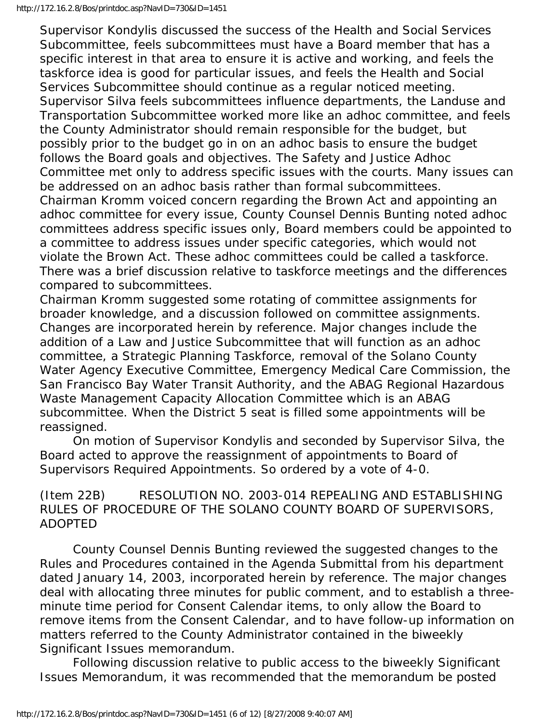Supervisor Kondylis discussed the success of the Health and Social Services Subcommittee, feels subcommittees must have a Board member that has a specific interest in that area to ensure it is active and working, and feels the taskforce idea is good for particular issues, and feels the Health and Social Services Subcommittee should continue as a regular noticed meeting. Supervisor Silva feels subcommittees influence departments, the Landuse and Transportation Subcommittee worked more like an adhoc committee, and feels the County Administrator should remain responsible for the budget, but possibly prior to the budget go in on an adhoc basis to ensure the budget follows the Board goals and objectives. The Safety and Justice Adhoc Committee met only to address specific issues with the courts. Many issues can be addressed on an adhoc basis rather than formal subcommittees. Chairman Kromm voiced concern regarding the Brown Act and appointing an adhoc committee for every issue, County Counsel Dennis Bunting noted adhoc committees address specific issues only, Board members could be appointed to a committee to address issues under specific categories, which would not violate the Brown Act. These adhoc committees could be called a taskforce. There was a brief discussion relative to taskforce meetings and the differences compared to subcommittees.

Chairman Kromm suggested some rotating of committee assignments for broader knowledge, and a discussion followed on committee assignments. Changes are incorporated herein by reference. Major changes include the addition of a Law and Justice Subcommittee that will function as an adhoc committee, a Strategic Planning Taskforce, removal of the Solano County Water Agency Executive Committee, Emergency Medical Care Commission, the San Francisco Bay Water Transit Authority, and the ABAG Regional Hazardous Waste Management Capacity Allocation Committee which is an ABAG subcommittee. When the District 5 seat is filled some appointments will be reassigned.

 On motion of Supervisor Kondylis and seconded by Supervisor Silva, the Board acted to approve the reassignment of appointments to Board of Supervisors Required Appointments. So ordered by a vote of 4-0.

(Item 22B) RESOLUTION NO. 2003-014 REPEALING AND ESTABLISHING RULES OF PROCEDURE OF THE SOLANO COUNTY BOARD OF SUPERVISORS, ADOPTED

 County Counsel Dennis Bunting reviewed the suggested changes to the Rules and Procedures contained in the Agenda Submittal from his department dated January 14, 2003, incorporated herein by reference. The major changes deal with allocating three minutes for public comment, and to establish a threeminute time period for Consent Calendar items, to only allow the Board to remove items from the Consent Calendar, and to have follow-up information on matters referred to the County Administrator contained in the biweekly Significant Issues memorandum.

 Following discussion relative to public access to the biweekly Significant Issues Memorandum, it was recommended that the memorandum be posted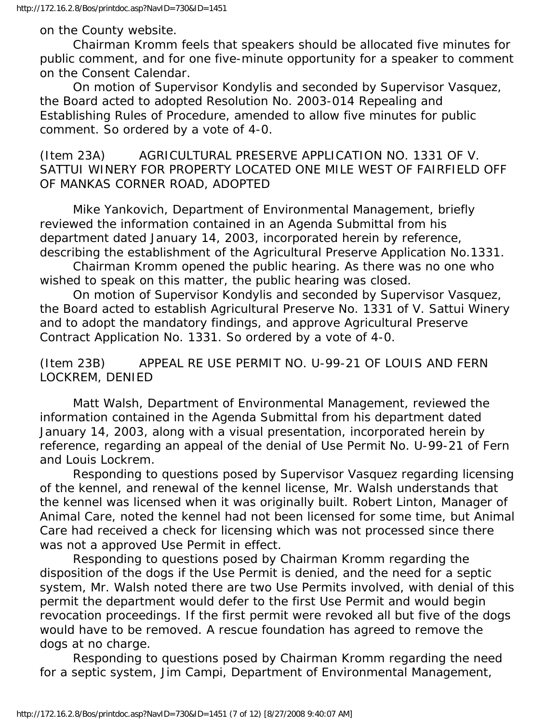## on the County website.

 Chairman Kromm feels that speakers should be allocated five minutes for public comment, and for one five-minute opportunity for a speaker to comment on the Consent Calendar.

 On motion of Supervisor Kondylis and seconded by Supervisor Vasquez, the Board acted to adopted Resolution No. 2003-014 Repealing and Establishing Rules of Procedure, amended to allow five minutes for public comment. So ordered by a vote of 4-0.

(Item 23A) AGRICULTURAL PRESERVE APPLICATION NO. 1331 OF V. SATTUI WINERY FOR PROPERTY LOCATED ONE MILE WEST OF FAIRFIELD OFF OF MANKAS CORNER ROAD, ADOPTED

 Mike Yankovich, Department of Environmental Management, briefly reviewed the information contained in an Agenda Submittal from his department dated January 14, 2003, incorporated herein by reference, describing the establishment of the Agricultural Preserve Application No.1331.

 Chairman Kromm opened the public hearing. As there was no one who wished to speak on this matter, the public hearing was closed.

 On motion of Supervisor Kondylis and seconded by Supervisor Vasquez, the Board acted to establish Agricultural Preserve No. 1331 of V. Sattui Winery and to adopt the mandatory findings, and approve Agricultural Preserve Contract Application No. 1331. So ordered by a vote of 4-0.

(Item 23B) APPEAL RE USE PERMIT NO. U-99-21 OF LOUIS AND FERN LOCKREM, DENIED

 Matt Walsh, Department of Environmental Management, reviewed the information contained in the Agenda Submittal from his department dated January 14, 2003, along with a visual presentation, incorporated herein by reference, regarding an appeal of the denial of Use Permit No. U-99-21 of Fern and Louis Lockrem.

 Responding to questions posed by Supervisor Vasquez regarding licensing of the kennel, and renewal of the kennel license, Mr. Walsh understands that the kennel was licensed when it was originally built. Robert Linton, Manager of Animal Care, noted the kennel had not been licensed for some time, but Animal Care had received a check for licensing which was not processed since there was not a approved Use Permit in effect.

 Responding to questions posed by Chairman Kromm regarding the disposition of the dogs if the Use Permit is denied, and the need for a septic system, Mr. Walsh noted there are two Use Permits involved, with denial of this permit the department would defer to the first Use Permit and would begin revocation proceedings. If the first permit were revoked all but five of the dogs would have to be removed. A rescue foundation has agreed to remove the dogs at no charge.

 Responding to questions posed by Chairman Kromm regarding the need for a septic system, Jim Campi, Department of Environmental Management,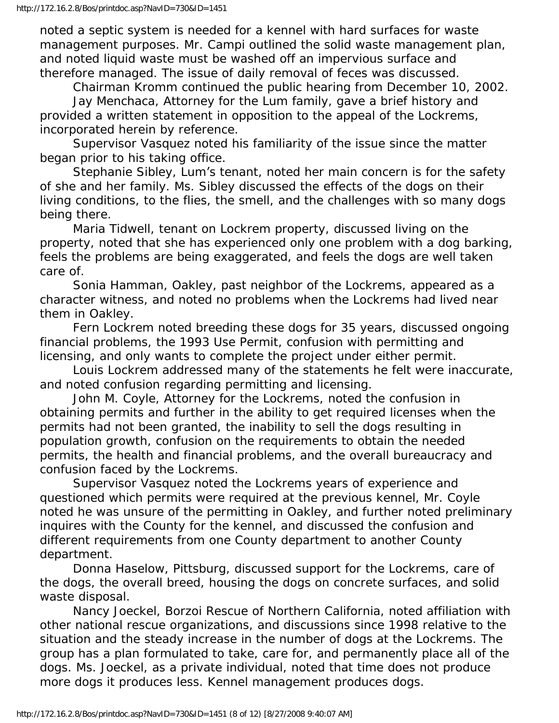noted a septic system is needed for a kennel with hard surfaces for waste management purposes. Mr. Campi outlined the solid waste management plan, and noted liquid waste must be washed off an impervious surface and therefore managed. The issue of daily removal of feces was discussed.

 Chairman Kromm continued the public hearing from December 10, 2002. Jay Menchaca, Attorney for the Lum family, gave a brief history and provided a written statement in opposition to the appeal of the Lockrems,

incorporated herein by reference. Supervisor Vasquez noted his familiarity of the issue since the matter began prior to his taking office.

 Stephanie Sibley, Lum's tenant, noted her main concern is for the safety of she and her family. Ms. Sibley discussed the effects of the dogs on their living conditions, to the flies, the smell, and the challenges with so many dogs being there.

 Maria Tidwell, tenant on Lockrem property, discussed living on the property, noted that she has experienced only one problem with a dog barking, feels the problems are being exaggerated, and feels the dogs are well taken care of.

 Sonia Hamman, Oakley, past neighbor of the Lockrems, appeared as a character witness, and noted no problems when the Lockrems had lived near them in Oakley.

 Fern Lockrem noted breeding these dogs for 35 years, discussed ongoing financial problems, the 1993 Use Permit, confusion with permitting and licensing, and only wants to complete the project under either permit.

 Louis Lockrem addressed many of the statements he felt were inaccurate, and noted confusion regarding permitting and licensing.

 John M. Coyle, Attorney for the Lockrems, noted the confusion in obtaining permits and further in the ability to get required licenses when the permits had not been granted, the inability to sell the dogs resulting in population growth, confusion on the requirements to obtain the needed permits, the health and financial problems, and the overall bureaucracy and confusion faced by the Lockrems.

 Supervisor Vasquez noted the Lockrems years of experience and questioned which permits were required at the previous kennel, Mr. Coyle noted he was unsure of the permitting in Oakley, and further noted preliminary inquires with the County for the kennel, and discussed the confusion and different requirements from one County department to another County department.

 Donna Haselow, Pittsburg, discussed support for the Lockrems, care of the dogs, the overall breed, housing the dogs on concrete surfaces, and solid waste disposal.

 Nancy Joeckel, Borzoi Rescue of Northern California, noted affiliation with other national rescue organizations, and discussions since 1998 relative to the situation and the steady increase in the number of dogs at the Lockrems. The group has a plan formulated to take, care for, and permanently place all of the dogs. Ms. Joeckel, as a private individual, noted that time does not produce more dogs it produces less. Kennel management produces dogs.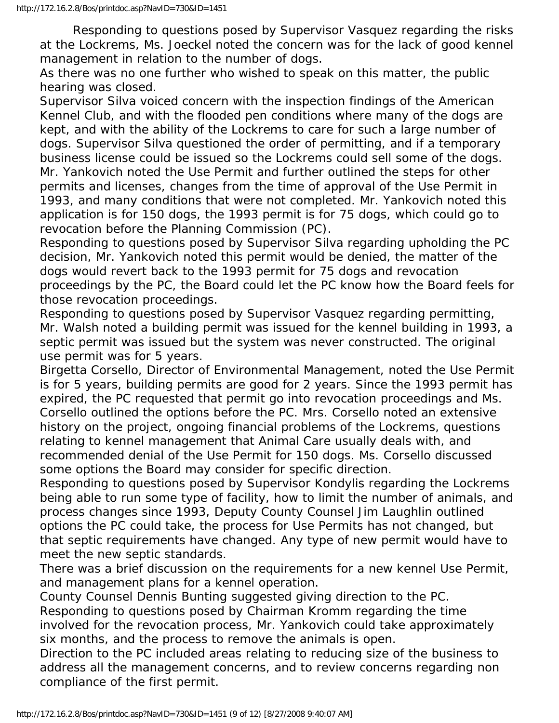Responding to questions posed by Supervisor Vasquez regarding the risks at the Lockrems, Ms. Joeckel noted the concern was for the lack of good kennel management in relation to the number of dogs.

As there was no one further who wished to speak on this matter, the public hearing was closed.

Supervisor Silva voiced concern with the inspection findings of the American Kennel Club, and with the flooded pen conditions where many of the dogs are kept, and with the ability of the Lockrems to care for such a large number of dogs. Supervisor Silva questioned the order of permitting, and if a temporary business license could be issued so the Lockrems could sell some of the dogs. Mr. Yankovich noted the Use Permit and further outlined the steps for other permits and licenses, changes from the time of approval of the Use Permit in 1993, and many conditions that were not completed. Mr. Yankovich noted this application is for 150 dogs, the 1993 permit is for 75 dogs, which could go to revocation before the Planning Commission (PC).

Responding to questions posed by Supervisor Silva regarding upholding the PC decision, Mr. Yankovich noted this permit would be denied, the matter of the dogs would revert back to the 1993 permit for 75 dogs and revocation proceedings by the PC, the Board could let the PC know how the Board feels for those revocation proceedings.

Responding to questions posed by Supervisor Vasquez regarding permitting, Mr. Walsh noted a building permit was issued for the kennel building in 1993, a septic permit was issued but the system was never constructed. The original use permit was for 5 years.

Birgetta Corsello, Director of Environmental Management, noted the Use Permit is for 5 years, building permits are good for 2 years. Since the 1993 permit has expired, the PC requested that permit go into revocation proceedings and Ms. Corsello outlined the options before the PC. Mrs. Corsello noted an extensive history on the project, ongoing financial problems of the Lockrems, questions relating to kennel management that Animal Care usually deals with, and recommended denial of the Use Permit for 150 dogs. Ms. Corsello discussed some options the Board may consider for specific direction.

Responding to questions posed by Supervisor Kondylis regarding the Lockrems being able to run some type of facility, how to limit the number of animals, and process changes since 1993, Deputy County Counsel Jim Laughlin outlined options the PC could take, the process for Use Permits has not changed, but that septic requirements have changed. Any type of new permit would have to meet the new septic standards.

There was a brief discussion on the requirements for a new kennel Use Permit, and management plans for a kennel operation.

County Counsel Dennis Bunting suggested giving direction to the PC. Responding to questions posed by Chairman Kromm regarding the time involved for the revocation process, Mr. Yankovich could take approximately six months, and the process to remove the animals is open.

Direction to the PC included areas relating to reducing size of the business to address all the management concerns, and to review concerns regarding non compliance of the first permit.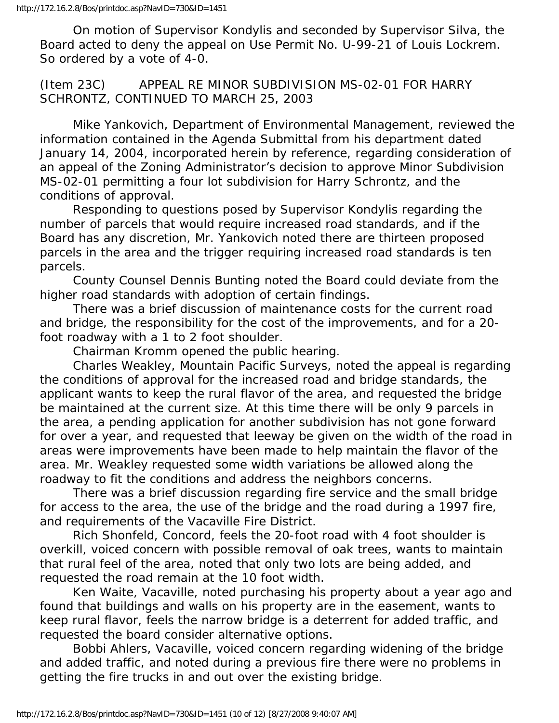On motion of Supervisor Kondylis and seconded by Supervisor Silva, the Board acted to deny the appeal on Use Permit No. U-99-21 of Louis Lockrem. So ordered by a vote of 4-0.

(Item 23C) APPEAL RE MINOR SUBDIVISION MS-02-01 FOR HARRY SCHRONTZ, CONTINUED TO MARCH 25, 2003

 Mike Yankovich, Department of Environmental Management, reviewed the information contained in the Agenda Submittal from his department dated January 14, 2004, incorporated herein by reference, regarding consideration of an appeal of the Zoning Administrator's decision to approve Minor Subdivision MS-02-01 permitting a four lot subdivision for Harry Schrontz, and the conditions of approval.

 Responding to questions posed by Supervisor Kondylis regarding the number of parcels that would require increased road standards, and if the Board has any discretion, Mr. Yankovich noted there are thirteen proposed parcels in the area and the trigger requiring increased road standards is ten parcels.

 County Counsel Dennis Bunting noted the Board could deviate from the higher road standards with adoption of certain findings.

 There was a brief discussion of maintenance costs for the current road and bridge, the responsibility for the cost of the improvements, and for a 20 foot roadway with a 1 to 2 foot shoulder.

Chairman Kromm opened the public hearing.

 Charles Weakley, Mountain Pacific Surveys, noted the appeal is regarding the conditions of approval for the increased road and bridge standards, the applicant wants to keep the rural flavor of the area, and requested the bridge be maintained at the current size. At this time there will be only 9 parcels in the area, a pending application for another subdivision has not gone forward for over a year, and requested that leeway be given on the width of the road in areas were improvements have been made to help maintain the flavor of the area. Mr. Weakley requested some width variations be allowed along the roadway to fit the conditions and address the neighbors concerns.

 There was a brief discussion regarding fire service and the small bridge for access to the area, the use of the bridge and the road during a 1997 fire, and requirements of the Vacaville Fire District.

 Rich Shonfeld, Concord, feels the 20-foot road with 4 foot shoulder is overkill, voiced concern with possible removal of oak trees, wants to maintain that rural feel of the area, noted that only two lots are being added, and requested the road remain at the 10 foot width.

 Ken Waite, Vacaville, noted purchasing his property about a year ago and found that buildings and walls on his property are in the easement, wants to keep rural flavor, feels the narrow bridge is a deterrent for added traffic, and requested the board consider alternative options.

 Bobbi Ahlers, Vacaville, voiced concern regarding widening of the bridge and added traffic, and noted during a previous fire there were no problems in getting the fire trucks in and out over the existing bridge.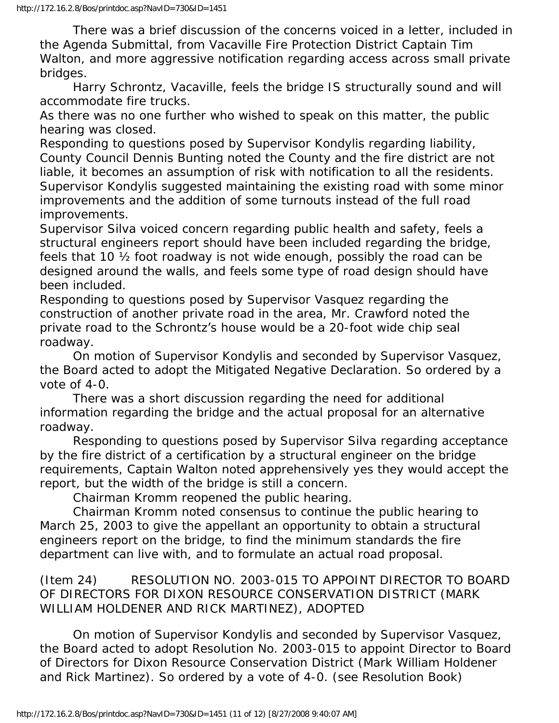There was a brief discussion of the concerns voiced in a letter, included in the Agenda Submittal, from Vacaville Fire Protection District Captain Tim Walton, and more aggressive notification regarding access across small private bridges.

 Harry Schrontz, Vacaville, feels the bridge IS structurally sound and will accommodate fire trucks.

As there was no one further who wished to speak on this matter, the public hearing was closed.

Responding to questions posed by Supervisor Kondylis regarding liability, County Council Dennis Bunting noted the County and the fire district are not liable, it becomes an assumption of risk with notification to all the residents. Supervisor Kondylis suggested maintaining the existing road with some minor improvements and the addition of some turnouts instead of the full road improvements.

Supervisor Silva voiced concern regarding public health and safety, feels a structural engineers report should have been included regarding the bridge, feels that 10 ½ foot roadway is not wide enough, possibly the road can be designed around the walls, and feels some type of road design should have been included.

Responding to questions posed by Supervisor Vasquez regarding the construction of another private road in the area, Mr. Crawford noted the private road to the Schrontz's house would be a 20-foot wide chip seal roadway.

 On motion of Supervisor Kondylis and seconded by Supervisor Vasquez, the Board acted to adopt the Mitigated Negative Declaration. So ordered by a vote of 4-0.

 There was a short discussion regarding the need for additional information regarding the bridge and the actual proposal for an alternative roadway.

 Responding to questions posed by Supervisor Silva regarding acceptance by the fire district of a certification by a structural engineer on the bridge requirements, Captain Walton noted apprehensively yes they would accept the report, but the width of the bridge is still a concern.

Chairman Kromm reopened the public hearing.

 Chairman Kromm noted consensus to continue the public hearing to March 25, 2003 to give the appellant an opportunity to obtain a structural engineers report on the bridge, to find the minimum standards the fire department can live with, and to formulate an actual road proposal.

(Item 24) RESOLUTION NO. 2003-015 TO APPOINT DIRECTOR TO BOARD OF DIRECTORS FOR DIXON RESOURCE CONSERVATION DISTRICT (MARK WILLIAM HOLDENER AND RICK MARTINEZ), ADOPTED

 On motion of Supervisor Kondylis and seconded by Supervisor Vasquez, the Board acted to adopt Resolution No. 2003-015 to appoint Director to Board of Directors for Dixon Resource Conservation District (Mark William Holdener and Rick Martinez). So ordered by a vote of 4-0. (see Resolution Book)